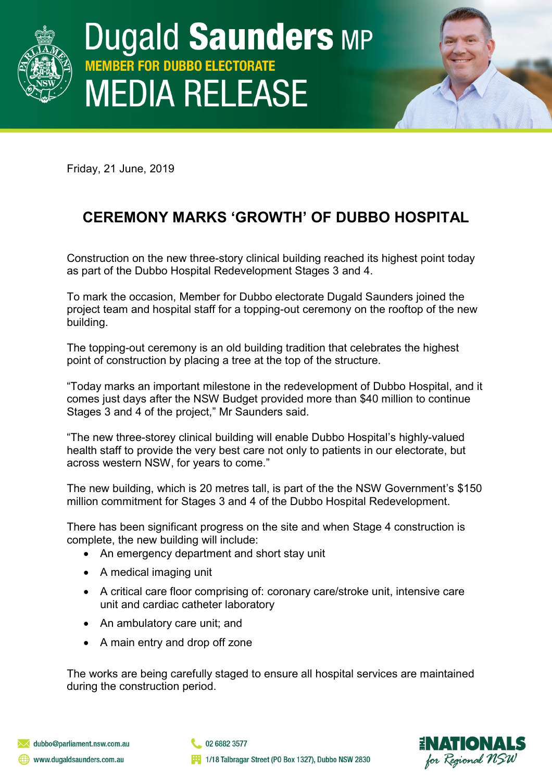

## **Dugald Saunders MP MBER FOR DUBBO ELECTORATE MEDIA RELEASE**

Friday, 21 June, 2019

## **CEREMONY MARKS 'GROWTH' OF DUBBO HOSPITAL**

Construction on the new three-story clinical building reached its highest point today as part of the Dubbo Hospital Redevelopment Stages 3 and 4.

To mark the occasion, Member for Dubbo electorate Dugald Saunders joined the project team and hospital staff for a topping-out ceremony on the rooftop of the new building.

The topping-out ceremony is an old building tradition that celebrates the highest point of construction by placing a tree at the top of the structure.

"Today marks an important milestone in the redevelopment of Dubbo Hospital, and it comes just days after the NSW Budget provided more than \$40 million to continue Stages 3 and 4 of the project," Mr Saunders said.

"The new three-storey clinical building will enable Dubbo Hospital's highly-valued health staff to provide the very best care not only to patients in our electorate, but across western NSW, for years to come."

The new building, which is 20 metres tall, is part of the the NSW Government's \$150 million commitment for Stages 3 and 4 of the Dubbo Hospital Redevelopment.

There has been significant progress on the site and when Stage 4 construction is complete, the new building will include:

- An emergency department and short stay unit
- A medical imaging unit
- A critical care floor comprising of: coronary care/stroke unit, intensive care unit and cardiac catheter laboratory
- An ambulatory care unit; and
- A main entry and drop off zone

The works are being carefully staged to ensure all hospital services are maintained during the construction period.

02 6882 3577